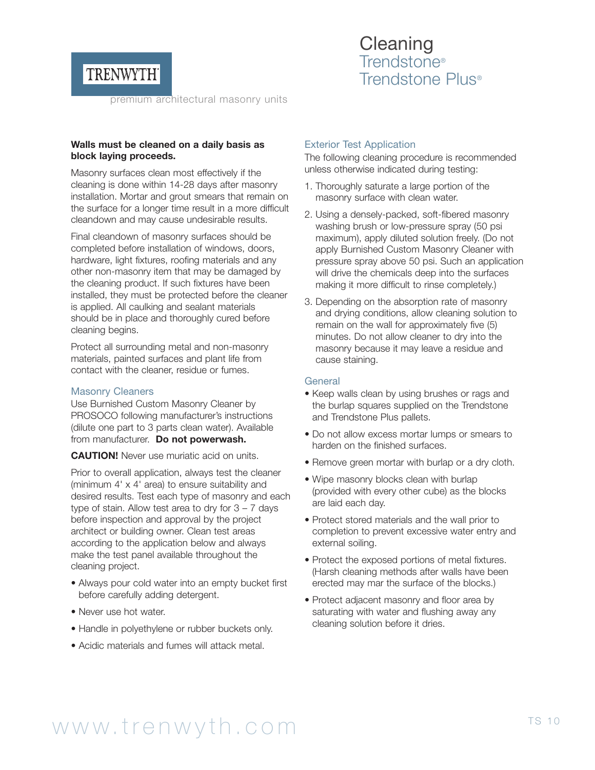

**Cleaning** Trendstone® Trendstone Plus®

premium architectural masonry units

### **Walls must be cleaned on a daily basis as block laying proceeds.**

Masonry surfaces clean most effectively if the cleaning is done within 14-28 days after masonry installation. Mortar and grout smears that remain on the surface for a longer time result in a more difficult cleandown and may cause undesirable results.

Final cleandown of masonry surfaces should be completed before installation of windows, doors, hardware, light fixtures, roofing materials and any other non-masonry item that may be damaged by the cleaning product. If such fixtures have been installed, they must be protected before the cleaner is applied. All caulking and sealant materials should be in place and thoroughly cured before cleaning begins.

Protect all surrounding metal and non-masonry materials, painted surfaces and plant life from contact with the cleaner, residue or fumes.

#### Masonry Cleaners

Use Burnished Custom Masonry Cleaner by PROSOCO following manufacturer's instructions (dilute one part to 3 parts clean water). Available from manufacturer. **Do not powerwash.**

**CAUTION!** Never use muriatic acid on units.

Prior to overall application, always test the cleaner (minimum 4' x 4' area) to ensure suitability and desired results. Test each type of masonry and each type of stain. Allow test area to dry for  $3 - 7$  days before inspection and approval by the project architect or building owner. Clean test areas according to the application below and always make the test panel available throughout the cleaning project.

- Always pour cold water into an empty bucket first before carefully adding detergent.
- Never use hot water.
- Handle in polyethylene or rubber buckets only.
- Acidic materials and fumes will attack metal.

### Exterior Test Application

The following cleaning procedure is recommended unless otherwise indicated during testing:

- 1. Thoroughly saturate a large portion of the masonry surface with clean water.
- 2. Using a densely-packed, soft-fibered masonry washing brush or low-pressure spray (50 psi maximum), apply diluted solution freely. (Do not apply Burnished Custom Masonry Cleaner with pressure spray above 50 psi. Such an application will drive the chemicals deep into the surfaces making it more difficult to rinse completely.)
- 3. Depending on the absorption rate of masonry and drying conditions, allow cleaning solution to remain on the wall for approximately five (5) minutes. Do not allow cleaner to dry into the masonry because it may leave a residue and cause staining.

#### **General**

- Keep walls clean by using brushes or rags and the burlap squares supplied on the Trendstone and Trendstone Plus pallets.
- Do not allow excess mortar lumps or smears to harden on the finished surfaces.
- Remove green mortar with burlap or a dry cloth.
- Wipe masonry blocks clean with burlap (provided with every other cube) as the blocks are laid each day.
- Protect stored materials and the wall prior to completion to prevent excessive water entry and external soiling.
- Protect the exposed portions of metal fixtures. (Harsh cleaning methods after walls have been erected may mar the surface of the blocks.)
- Protect adjacent masonry and floor area by saturating with water and flushing away any cleaning solution before it dries.

# www.trenwyth.com TS 10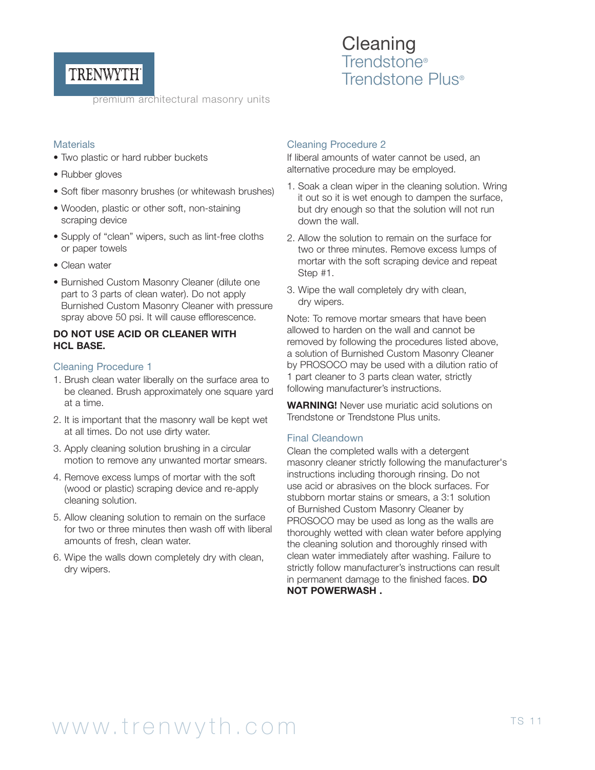

premium architectural masonry units

# **Materials**

- Two plastic or hard rubber buckets
- Rubber gloves
- Soft fiber masonry brushes (or whitewash brushes)
- Wooden, plastic or other soft, non-staining scraping device
- Supply of "clean" wipers, such as lint-free cloths or paper towels
- Clean water
- Burnished Custom Masonry Cleaner (dilute one part to 3 parts of clean water). Do not apply Burnished Custom Masonry Cleaner with pressure spray above 50 psi. It will cause efflorescence.

# **DO NOT USE ACID OR CLEANER WITH HCL BASE.**

### Cleaning Procedure 1

- 1. Brush clean water liberally on the surface area to be cleaned. Brush approximately one square yard at a time.
- 2. It is important that the masonry wall be kept wet at all times. Do not use dirty water.
- 3. Apply cleaning solution brushing in a circular motion to remove any unwanted mortar smears.
- 4. Remove excess lumps of mortar with the soft (wood or plastic) scraping device and re-apply cleaning solution.
- 5. Allow cleaning solution to remain on the surface for two or three minutes then wash off with liberal amounts of fresh, clean water.
- 6. Wipe the walls down completely dry with clean, dry wipers.

# Cleaning Procedure 2

If liberal amounts of water cannot be used, an alternative procedure may be employed.

**Cleaning** Trendstone®

Trendstone Plus®

- 1. Soak a clean wiper in the cleaning solution. Wring it out so it is wet enough to dampen the surface, but dry enough so that the solution will not run down the wall.
- 2. Allow the solution to remain on the surface for two or three minutes. Remove excess lumps of mortar with the soft scraping device and repeat Step #1.
- 3. Wipe the wall completely dry with clean, dry wipers.

Note: To remove mortar smears that have been allowed to harden on the wall and cannot be removed by following the procedures listed above, a solution of Burnished Custom Masonry Cleaner by PROSOCO may be used with a dilution ratio of 1 part cleaner to 3 parts clean water, strictly following manufacturer's instructions.

**WARNING!** Never use muriatic acid solutions on Trendstone or Trendstone Plus units.

### Final Cleandown

Clean the completed walls with a detergent masonry cleaner strictly following the manufacturer's instructions including thorough rinsing. Do not use acid or abrasives on the block surfaces. For stubborn mortar stains or smears, a 3:1 solution of Burnished Custom Masonry Cleaner by PROSOCO may be used as long as the walls are thoroughly wetted with clean water before applying the cleaning solution and thoroughly rinsed with clean water immediately after washing. Failure to strictly follow manufacturer's instructions can result in permanent damage to the finished faces. **DO NOT POWERWASH .**

# www.trenwyth.com TS 11